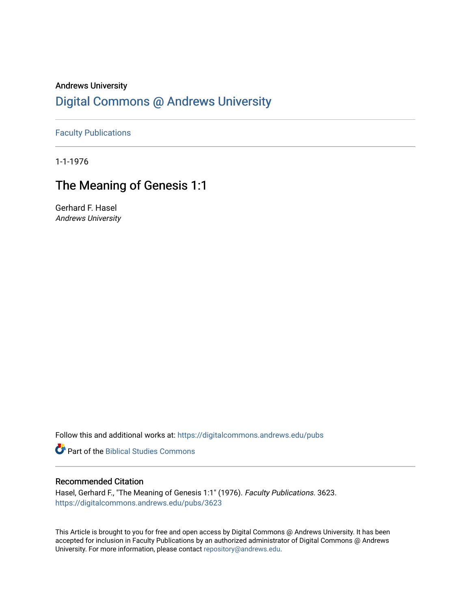## Andrews University [Digital Commons @ Andrews University](https://digitalcommons.andrews.edu/)

[Faculty Publications](https://digitalcommons.andrews.edu/pubs)

1-1-1976

# The Meaning of Genesis 1:1

Gerhard F. Hasel Andrews University

Follow this and additional works at: [https://digitalcommons.andrews.edu/pubs](https://digitalcommons.andrews.edu/pubs?utm_source=digitalcommons.andrews.edu%2Fpubs%2F3623&utm_medium=PDF&utm_campaign=PDFCoverPages) 

**Part of the Biblical Studies Commons** 

#### Recommended Citation

Hasel, Gerhard F., "The Meaning of Genesis 1:1" (1976). Faculty Publications. 3623. [https://digitalcommons.andrews.edu/pubs/3623](https://digitalcommons.andrews.edu/pubs/3623?utm_source=digitalcommons.andrews.edu%2Fpubs%2F3623&utm_medium=PDF&utm_campaign=PDFCoverPages) 

This Article is brought to you for free and open access by Digital Commons @ Andrews University. It has been accepted for inclusion in Faculty Publications by an authorized administrator of Digital Commons @ Andrews University. For more information, please contact [repository@andrews.edu](mailto:repository@andrews.edu).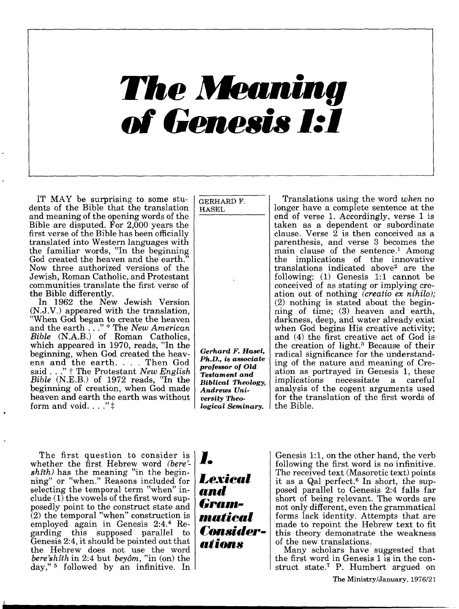# *The Meaning of Genesis 1:1*

IT MAY be surprising to some stu dents of the Bible that the translation and meaning of the opening words of the Bible are disputed. For  $2,000$  years the first verse of the Bible has been officially translated into Western languages with the familiar words, "In the beginning God created the heaven and the earth. Now three authorized versions of the Jewish, Roman Catholic, and Protestant communities translate the first verse of the Bible differently.

In 1962 the New Jewish Version (N.J.V.) appeared with the translation, "When God began to create the heaven and the earth ..." \* The *New American Bible* (N.A.B.) of Roman Catholics, which appeared in 1970, reads, "In the beginning, when God created the heav ens and the earth. . . . Then God said . . ." t The Protestant *New English Bible* (N.E.B.) of 1972 reads, "In the beginning of creation, when God made heaven and earth the earth was without form and void.  $\ldots$ ." $\ddagger$ 

GERHARD F. HASEL



*Ph.D., is associate professor of Old Testament and Biblical Theology, Andrews Uni versity Theo logical Seminary.*

Translations using the word *when* no longer have a complete sentence at the end of verse 1. Accordingly, verse *1 is*  taken as a dependent or subordinate clause. Verse 2 is then conceived as a parenthesis, and verse 3 becomes the main clause of the sentence.<sup>1</sup> Among the implications of the innovative translations indicated above2 are the following: (1) Genesis 1:1 cannot be conceived of as stating or implying cre ation out of nothing *(creatio ex nihilo);*  (2) nothing is stated about the begin ning of time; (3) heaven and earth, darkness, deep, and water already exist when God begins His creative activity; and (4) the first creative act of God is the creation of light.3 Because of their radical significance for the understand ing of the nature and meaning of Cre ation as portrayed in Genesis 1, these implications necessitate analysis of the cogent arguments used for the translation of the first words of the Bible.

The first question to consider is whether the first Hebrew word *Cbere' shith)* has the meaning "in the begin ning" or "when." Reasons included for selecting the temporal term "when" in clude  $(1)$  the vowels of the first word supposedly point to the construct state and (2) the temporal "when" construction is employed again in Genesis 2:4.4 Re garding this supposed parallel to Genesis 2:4, it should be pointed out that the Hebrew does not use the word *bere'shith* in 2:4 but *beyom,* "in (on) the day," 5 followed by an infinitive. In

I. *Lexical and Gram matical Consider ations*

Genesis 1:1, on the other hand, the verb following the first word is no infinitive. The received text (Masoretic text) points it as a Qal perfect.<sup>6</sup> In short, the supposed parallel to Genesis 2:4 falls far short of being relevant. The words are not only different, even the grammatical forms lack identity. Attempts that are made to repoint the Hebrew text to fit this theory demonstrate the weakness of the new translations.

Many scholars have suggested that the first word in Genesis 1 is in the construct state.7 P. Humbert argued on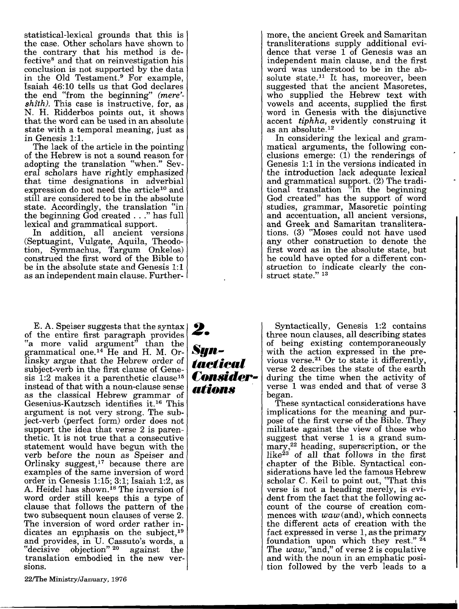statistical-lexical grounds that this is the case. Other scholars have shown to the contrary that his method is de fective8 and that on reinvestigation his conclusion is not supported by the data in the Old Testament.9 For example, Isaiah 46:10 tells us that God declares the end "from the beginning" *(mere' shith).* This case is instructive, for, as N. H. Ridderbos points out, it shows that the word can be used in an absolute state with a temporal meaning, just as in Genesis 1:1.

The lack of the article in the pointing of the Hebrew is not a sound reason for adopting the translation "when." Sev eral scholars have rightly emphasized that time designations in adverbial expression do not need the article<sup>10</sup> and still are considered to be in the absolute state. Accordingly, the translation "in the beginning God created . . ." has full lexical and grammatical support.

In addition, all ancient versions (Septuagint, Vulgate, Aquila, Theodotion, Symmachus, Targum Onkelos) construed the first word of the Bible to be in the absolute state and Genesis 1:1 as an independent main clause. Further

E. A. Speiser suggests that the syntax of the entire first paragraph provides "a more valid argument" than the grammatical one.<sup>14</sup> He and H. M. Orlinsky argue that the Hebrew order of subject-verb in the first clause of Gene sis 1:2 makes it a parenthetic clause<sup>15</sup> instead of that with a noun-clause sense as the classical Hebrew grammar of Gesenius-Kautzsch identifies it.16 This argument is not very strong. The sub ject-verb (perfect form) order does not support the idea that verse 2 is parenthetic. It is not true that a consecutive statement would have begun with the verb before the noun as Speiser and Orlinsky suggest, $17$  because there are examples of the same inversion of word order in Genesis 1:15; 3:1; Isaiah 1:2, as A. Heidel has shown. 18 The inversion of word order still keeps this a type of clause that follows the pattern of the two subsequent noun clauses of verse 2. The inversion of word order rather in dicates an emphasis on the subject,<sup>19</sup> and provides, in U. Cassuto's words, a<br>"decisive objection" <sup>20</sup> against the "decisive objection"<sup>20</sup> translation embodied in the new ver sions.

*2. Syn tactical Consider ations*

more, the ancient Greek and Samaritan transliterations supply additional evi dence that verse  $1$  of Genesis was an independent main clause, and the first word was understood to be in the ab solute state.<sup>11</sup> It has, moreover, been suggested that the ancient Masoretes, who supplied the Hebrew text with vowels and accents, supplied the first word in Genesis with the disjunctive accent *tiphha,* evidently construing it as an absolute. <sup>12</sup>

In considering the lexical and gram matical arguments, the following con clusions emerge: (1) the renderings of Genesis 1:1 in the versions indicated in the introduction lack adequate lexical and grammatical support. (2) The tradi tional translation "In the beginning God created" has the support of word studies, grammar, Masoretic pointing and accentuation, all ancient versions, and Greek and Samaritan translitera tions. (3) "Moses could not have used any other construction to denote the first word as in the absolute state, but he could have opted for a different con struction to indicate clearly the con struct state." 13

Syntactically, Genesis 1:2 contains three noun clauses, all describing states of being existing contemporaneously with the action expressed in the pre vious verse.21 Or to state it differently, verse 2 describes the state of the earth during the time when the activity of verse 1 was ended and that of verse 3 began.

These syntactical considerations have implications for the meaning and pur pose of the first verse of the Bible. They militate against the view of those who suggest that verse 1 is a grand sum mary,22 heading, superscription, or the like $^{23}$  of all that follows in the first chapter of the Bible. Syntactical con siderations have led the famous Hebrew scholar C. Keil to point out, "That this verse is not a heading merely, is evi dent from the fact that the following ac count of the course of creation com mences with  $waw$  (and), which connects the different acts of creation with the fact expressed in verse 1, as the primary foundation upon which they rest." 24 The *waw,* "and," of verse 2 is copulative and with the noun in an emphatic posi tion followed by the verb leads to a

22/The Ministry/January, 1976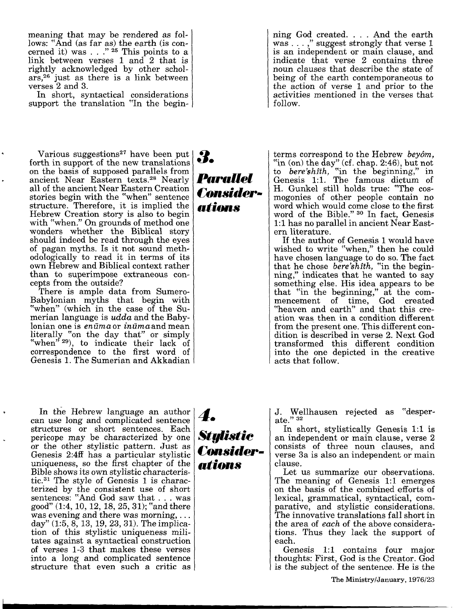meaning that may be rendered as fol lows: "And (as far as) the earth (is con cerned it) was . . *." 25* This points to a link between verses *1* and 2 that is rightly acknowledged by other schol ars,26 just as there is a link between verses 2 and 3.

In short, syntactical considerations support the translation "In the begin

Various suggestions<sup>27</sup> have been put forth in support of the new translations on the basis of supposed parallels from ancient Near Eastern texts.28 Nearly all of the ancient Near Eastern Creation stories begin with the "when" sentence structure. Therefore, it is implied the Hebrew Creation story is also to begin with "when." On grounds of method one wonders whether the Biblical story should indeed be read through the eyes of pagan myths. Is it not sound meth odologically to read it in terms of its own Hebrew and Biblical context rather than to superimpose extraneous con cepts from the outside?

There is ample data from Sumero-Babylonian myths that begin with "when" (which in the case of the Sumerian language is *udda* and the Baby lonian one is *enūma* or *inūma* and mean literally "on the day that" or simply "when"  $^{29}$ ), to indicate their lack of correspondence to the first word of Genesis 1. The Sumerian and Akkadian

*3. Parallel Consider ations*

ning God created. . . . And the earth was . . . ," suggest strongly that verse *<sup>1</sup>* is an independent or main clause, and indicate that verse 2 contains three noun clauses that describe the state of being of the earth contemporaneous to the action of verse 1 and prior to the activities mentioned in the verses that follow.

terms correspond to the Hebrew *beyom,*  "in (on) the day" (cf. chap. 2:46), but not to *bere'shith,* "in the beginning," in Genesis 1:1. The famous dictum of H. Gunkel still holds true: "The cos mogonies of other people contain no word which would come close to the first word of the Bible." 30 In fact, Genesis 1:1 has no parallel in ancient Near East ern literature.

If the author of Genesis 1 would have wished to write "when," then he could have chosen language to do so. The fact that he chose *bere'shith,* "in the begin ning," indicates that he wanted to say something else. His idea appears to be that "in the beginning," at the com mencement of time, God created "heaven and earth" and that this cre ation was then in a condition different from the present one. This different con dition is described in verse 2. Next God transformed this different condition into the one depicted in the creative acts that follow.

In the Hebrew language an author can use long and complicated sentence structures or short sentences. Each pericope may be characterized by one or the other stylistic pattern. Just as Genesis 2:4ff has a particular stylistic uniqueness, so the first chapter of the Bible shows its own stylistic characteris tic. 31 The style of Genesis 1 is charac terized by the consistent use of short sentences: "And God saw that . . . was good" (1:4, 10, 12, 18, 25, 31); "and there was evening and there was morning,... day" (1:5, 8, 13, 19, 23, 31). The implica tion of this stylistic uniqueness mili tates against a syntactical construction of verses 1-3 that makes these verses into a long and complicated sentence structure that even such a critic as

*4. Stylistic Consider ations*

*J.* Wellhausen rejected as "desper-<br>ate." <sup>32</sup>

In short, stylistically Genesis 1:1 is an independent or main clause, verse 2 consists of three noun clauses, and verse 3a is also an independent or main clause.

Let us summarize our observations. The meaning of Genesis 1:1 emerges on the basis of the combined efforts of lexical, grammatical, syntactical, com parative, and stylistic considerations. The innovative translations fall short in the area of *each* of the above considera tions. Thus they lack the support of each.

Genesis 1:1 contains four major thoughts: First, God is the Creator. God is the subject of the sentence. He is the